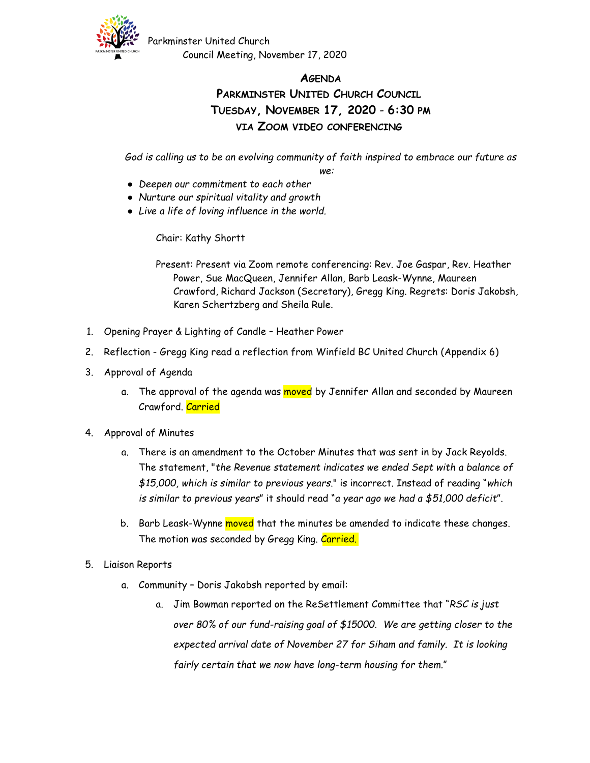

Parkminster United Church Council Meeting, November 17, 2020

## **AGENDA PARKMINSTER UNITED CHURCH COUNCIL TUESDAY, NOVEMBER 17, 2020** - **6:30 PM VIA ZOOM VIDEO CONFERENCING**

*God is calling us to be an evolving community of faith inspired to embrace our future as* 

*we:*

- *Deepen our commitment to each other*
- *Nurture our spiritual vitality and growth*
- *Live a life of loving influence in the world.*

Chair: Kathy Shortt

Present: Present via Zoom remote conferencing: Rev. Joe Gaspar, Rev. Heather Power, Sue MacQueen, Jennifer Allan, Barb Leask-Wynne, Maureen Crawford, Richard Jackson (Secretary), Gregg King. Regrets: Doris Jakobsh, Karen Schertzberg and Sheila Rule.

- 1. Opening Prayer & Lighting of Candle Heather Power
- 2. Reflection Gregg King read a reflection from Winfield BC United Church (Appendix 6)
- 3. Approval of Agenda
	- a. The approval of the agenda was moved by Jennifer Allan and seconded by Maureen Crawford. Carried
- 4. Approval of Minutes
	- a. There is an amendment to the October Minutes that was sent in by Jack Reyolds. The statement, "*the Revenue statement indicates we ended Sept with a balance of \$15,000, which is similar to previous years*." is incorrect. Instead of reading "*which is similar to previous years*" it should read "*a year ago we had a \$51,000 deficit*".
	- b. Barb Leask-Wynne moved that the minutes be amended to indicate these changes. The motion was seconded by Gregg King. Carried.
- 5. Liaison Reports
	- a. Community Doris Jakobsh reported by email:
		- a. Jim Bowman reported on the ReSettlement Committee that "*RSC is just over 80% of our fund-raising goal of \$15000. We are getting closer to the expected arrival date of November 27 for Siham and family. It is looking fairly certain that we now have long-term housing for them.*"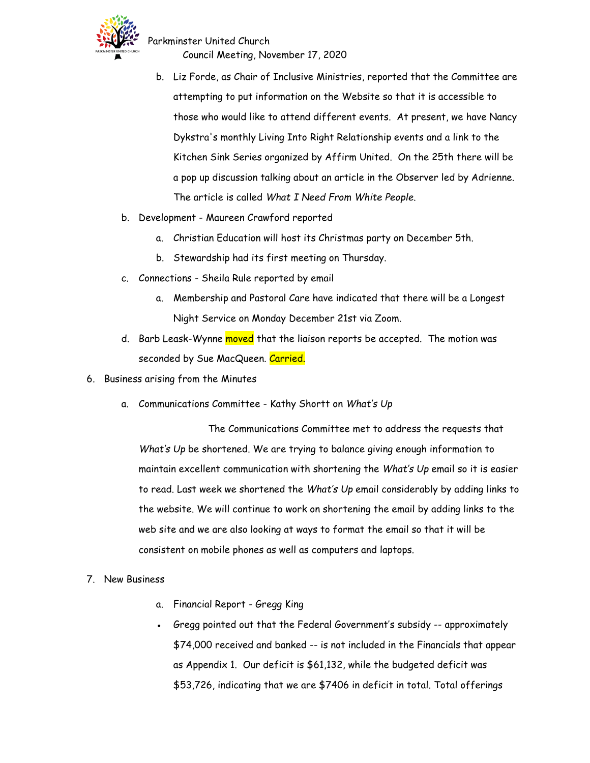

Council Meeting, November 17, 2020

- b. Liz Forde, as Chair of Inclusive Ministries, reported that the Committee are attempting to put information on the Website so that it is accessible to those who would like to attend different events. At present, we have Nancy Dykstra's monthly Living Into Right Relationship events and a link to the Kitchen Sink Series organized by Affirm United. On the 25th there will be a pop up discussion talking about an article in the Observer led by Adrienne. The article is called *What I Need From White People*.
- b. Development Maureen Crawford reported
	- a. Christian Education will host its Christmas party on December 5th.
	- b. Stewardship had its first meeting on Thursday.
- c. Connections Sheila Rule reported by email
	- a. Membership and Pastoral Care have indicated that there will be a Longest Night Service on Monday December 21st via Zoom.
- d. Barb Leask-Wynne moved that the liaison reports be accepted. The motion was seconded by Sue MacQueen. Carried.
- 6. Business arising from the Minutes
	- a. Communications Committee Kathy Shortt on *What's Up*

The Communications Committee met to address the requests that *What's Up* be shortened. We are trying to balance giving enough information to maintain excellent communication with shortening the *What's Up* email so it is easier to read. Last week we shortened the *What's Up* email considerably by adding links to the website. We will continue to work on shortening the email by adding links to the web site and we are also looking at ways to format the email so that it will be consistent on mobile phones as well as computers and laptops.

- 7. New Business
	- a. Financial Report Gregg King
	- Gregg pointed out that the Federal Government's subsidy -- approximately \$74,000 received and banked -- is not included in the Financials that appear as Appendix 1. Our deficit is \$61,132, while the budgeted deficit was \$53,726, indicating that we are \$7406 in deficit in total. Total offerings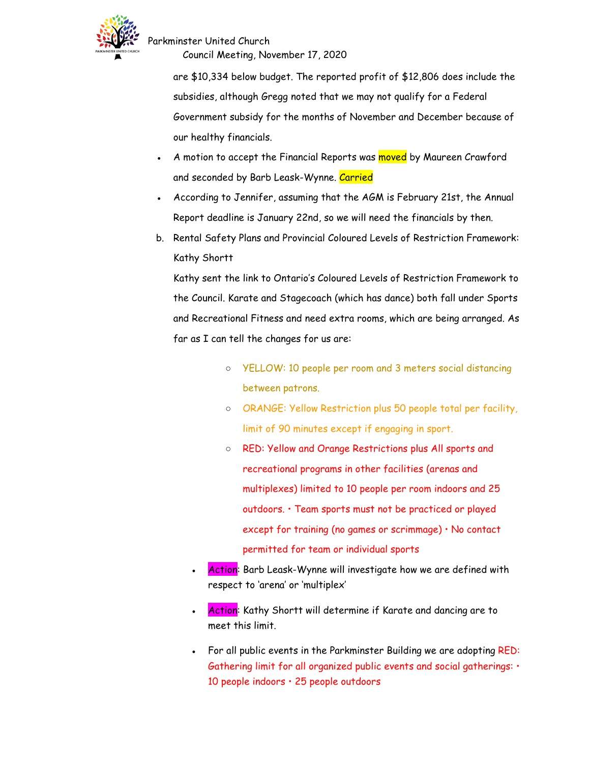

Council Meeting, November 17, 2020

are \$10,334 below budget. The reported profit of \$12,806 does include the subsidies, although Gregg noted that we may not qualify for a Federal Government subsidy for the months of November and December because of our healthy financials.

- A motion to accept the Financial Reports was moved by Maureen Crawford and seconded by Barb Leask-Wynne. Carried
- According to Jennifer, assuming that the AGM is February 21st, the Annual Report deadline is January 22nd, so we will need the financials by then.
- b. Rental Safety Plans and Provincial Coloured Levels of Restriction Framework: Kathy Shortt

Kathy sent the link to Ontario's Coloured Levels of Restriction Framework to the Council. Karate and Stagecoach (which has dance) both fall under Sports and Recreational Fitness and need extra rooms, which are being arranged. As far as I can tell the changes for us are:

- YELLOW: 10 people per room and 3 meters social distancing between patrons.
- ORANGE: Yellow Restriction plus 50 people total per facility, limit of 90 minutes except if engaging in sport.
- RED: Yellow and Orange Restrictions plus All sports and recreational programs in other facilities (arenas and multiplexes) limited to 10 people per room indoors and 25 outdoors. • Team sports must not be practiced or played except for training (no games or scrimmage) • No contact permitted for team or individual sports
- Action: Barb Leask-Wynne will investigate how we are defined with respect to 'arena' or 'multiplex'
- Action: Kathy Shortt will determine if Karate and dancing are to meet this limit.
- For all public events in the Parkminster Building we are adopting RED: Gathering limit for all organized public events and social gatherings: • 10 people indoors • 25 people outdoors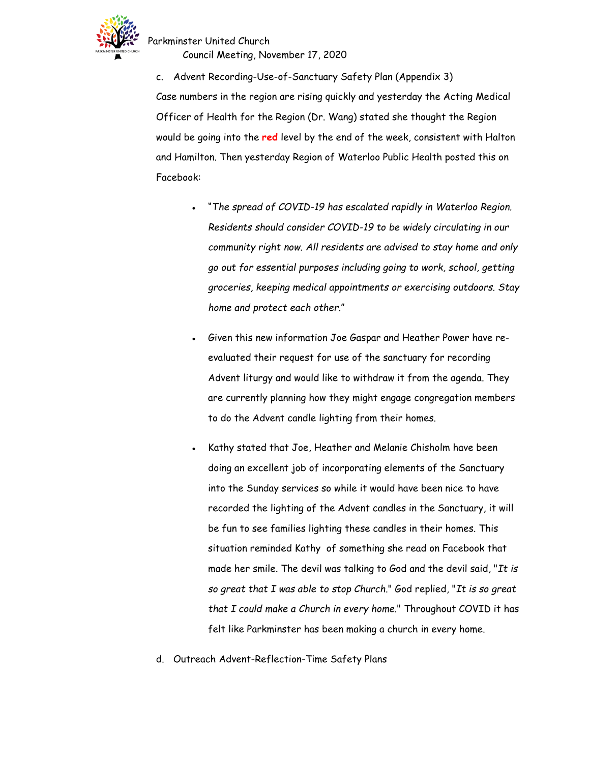

Council Meeting, November 17, 2020

c. Advent Recording-Use-of-Sanctuary Safety Plan (Appendix 3) Case numbers in the region are rising quickly and yesterday the Acting Medical Officer of Health for the Region (Dr. Wang) stated she thought the Region would be going into the **red** level by the end of the week, consistent with Halton and Hamilton. Then yesterday Region of Waterloo Public Health posted this on Facebook:

- "*The spread of COVID-19 has escalated rapidly in Waterloo Region. Residents should consider COVID-19 to be widely circulating in our community right now. All residents are advised to stay home and only go out for essential purposes including going to work, school, getting groceries, keeping medical appointments or exercising outdoors. Stay home and protect each other*."
- Given this new information Joe Gaspar and Heather Power have reevaluated their request for use of the sanctuary for recording Advent liturgy and would like to withdraw it from the agenda. They are currently planning how they might engage congregation members to do the Advent candle lighting from their homes.
- Kathy stated that Joe, Heather and Melanie Chisholm have been doing an excellent job of incorporating elements of the Sanctuary into the Sunday services so while it would have been nice to have recorded the lighting of the Advent candles in the Sanctuary, it will be fun to see families lighting these candles in their homes. This situation reminded Kathy of something she read on Facebook that made her smile. The devil was talking to God and the devil said, "*It is so great that I was able to stop Church*." God replied, "*It is so great that I could make a Church in every home*." Throughout COVID it has felt like Parkminster has been making a church in every home.
- d. Outreach Advent-Reflection-Time Safety Plans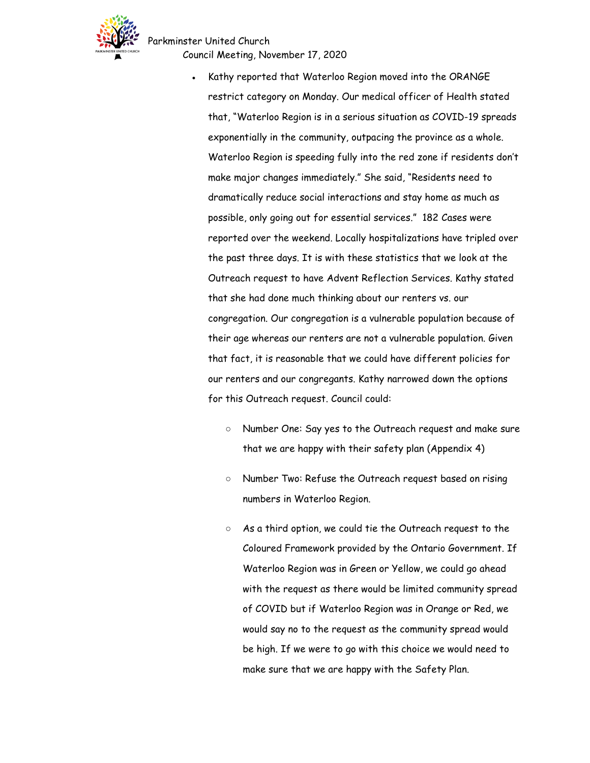Parkminster United Church



Council Meeting, November 17, 2020

- Kathy reported that Waterloo Region moved into the ORANGE restrict category on Monday. Our medical officer of Health stated that, "Waterloo Region is in a serious situation as COVID-19 spreads exponentially in the community, outpacing the province as a whole. Waterloo Region is speeding fully into the red zone if residents don't make major changes immediately." She said, "Residents need to dramatically reduce social interactions and stay home as much as possible, only going out for essential services." 182 Cases were reported over the weekend. Locally hospitalizations have tripled over the past three days. It is with these statistics that we look at the Outreach request to have Advent Reflection Services. Kathy stated that she had done much thinking about our renters vs. our congregation. Our congregation is a vulnerable population because of their age whereas our renters are not a vulnerable population. Given that fact, it is reasonable that we could have different policies for our renters and our congregants. Kathy narrowed down the options for this Outreach request. Council could:
	- Number One: Say yes to the Outreach request and make sure that we are happy with their safety plan (Appendix 4)
	- Number Two: Refuse the Outreach request based on rising numbers in Waterloo Region.
	- As a third option, we could tie the Outreach request to the Coloured Framework provided by the Ontario Government. If Waterloo Region was in Green or Yellow, we could go ahead with the request as there would be limited community spread of COVID but if Waterloo Region was in Orange or Red, we would say no to the request as the community spread would be high. If we were to go with this choice we would need to make sure that we are happy with the Safety Plan.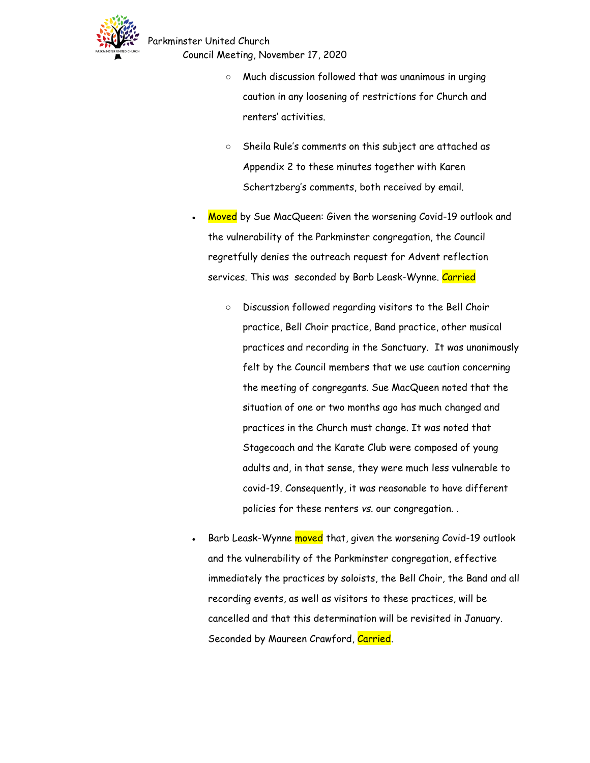

Parkminster United Church Council Meeting, November 17, 2020

- Much discussion followed that was unanimous in urging caution in any loosening of restrictions for Church and renters' activities.
- Sheila Rule's comments on this subject are attached as Appendix 2 to these minutes together with Karen Schertzberg's comments, both received by email.
- Moved by Sue MacQueen: Given the worsening Covid-19 outlook and the vulnerability of the Parkminster congregation, the Council regretfully denies the outreach request for Advent reflection services. This was seconded by Barb Leask-Wynne. Carried
	- Discussion followed regarding visitors to the Bell Choir practice, Bell Choir practice, Band practice, other musical practices and recording in the Sanctuary. It was unanimously felt by the Council members that we use caution concerning the meeting of congregants. Sue MacQueen noted that the situation of one or two months ago has much changed and practices in the Church must change. It was noted that Stagecoach and the Karate Club were composed of young adults and, in that sense, they were much less vulnerable to covid-19. Consequently, it was reasonable to have different policies for these renters *vs.* our congregation. .
- Barb Leask-Wynne moved that, given the worsening Covid-19 outlook and the vulnerability of the Parkminster congregation, effective immediately the practices by soloists, the Bell Choir, the Band and all recording events, as well as visitors to these practices, will be cancelled and that this determination will be revisited in January. Seconded by Maureen Crawford, Carried.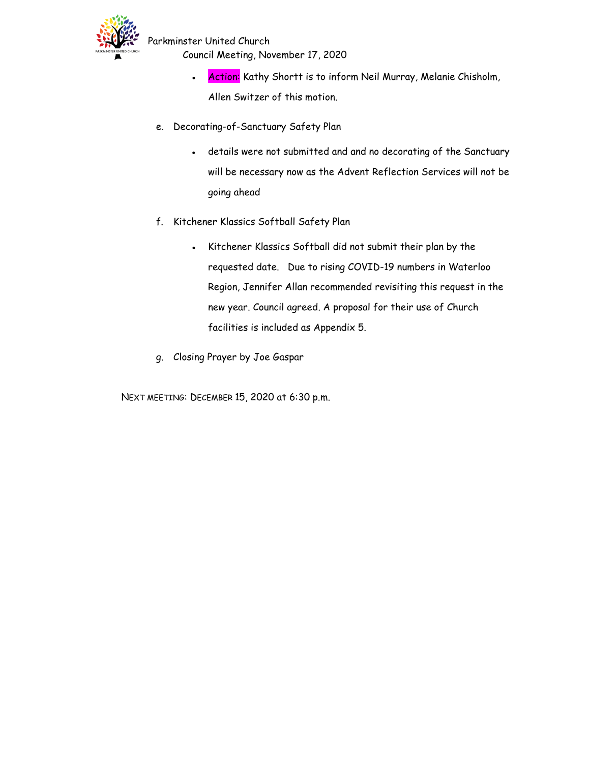

- Council Meeting, November 17, 2020
	- Action: Kathy Shortt is to inform Neil Murray, Melanie Chisholm, Allen Switzer of this motion.
- e. Decorating-of-Sanctuary Safety Plan
	- details were not submitted and and no decorating of the Sanctuary will be necessary now as the Advent Reflection Services will not be going ahead
- f. Kitchener Klassics Softball Safety Plan
	- Kitchener Klassics Softball did not submit their plan by the requested date. Due to rising COVID-19 numbers in Waterloo Region, Jennifer Allan recommended revisiting this request in the new year. Council agreed. A proposal for their use of Church facilities is included as Appendix 5.
- g. Closing Prayer by Joe Gaspar

NEXT MEETING: DECEMBER 15, 2020 at 6:30 p.m.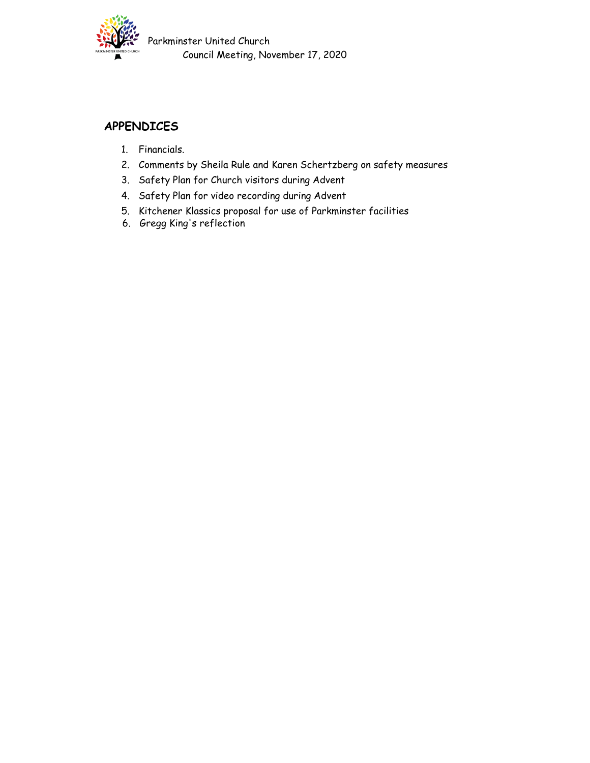

Parkminster United Church Council Meeting, November 17, 2020

### **APPENDICES**

- 1. Financials.
- 2. Comments by Sheila Rule and Karen Schertzberg on safety measures
- 3. Safety Plan for Church visitors during Advent
- 4. Safety Plan for video recording during Advent
- 5. Kitchener Klassics proposal for use of Parkminster facilities
- 6. Gregg King's reflection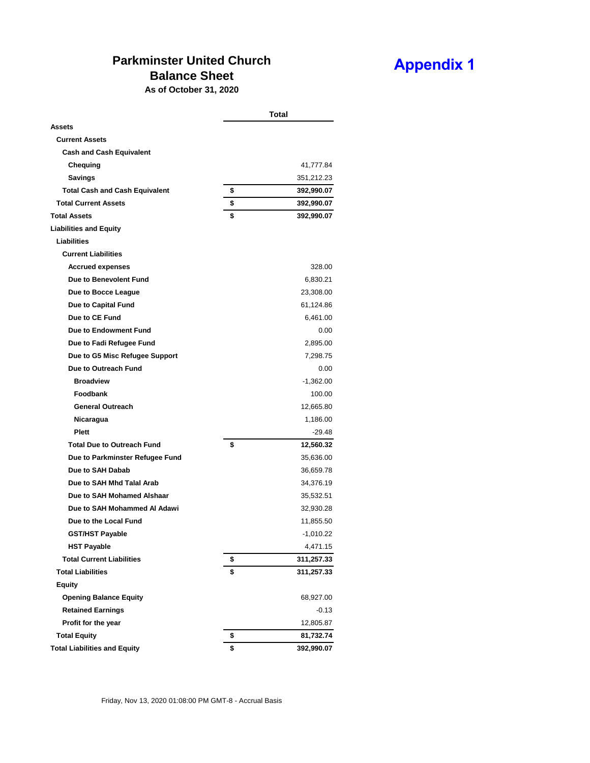# **Parkminster United Church**

## **Appendix 1**

# **Balance Sheet**

**As of October 31, 2020**

|                                       | Total            |
|---------------------------------------|------------------|
| Assets                                |                  |
| <b>Current Assets</b>                 |                  |
| <b>Cash and Cash Equivalent</b>       |                  |
| Chequing                              | 41,777.84        |
| Savings                               | 351,212.23       |
| <b>Total Cash and Cash Equivalent</b> | \$<br>392,990.07 |
| <b>Total Current Assets</b>           | \$<br>392,990.07 |
| <b>Total Assets</b>                   | \$<br>392,990.07 |
| <b>Liabilities and Equity</b>         |                  |
| <b>Liabilities</b>                    |                  |
| <b>Current Liabilities</b>            |                  |
| <b>Accrued expenses</b>               | 328.00           |
| Due to Benevolent Fund                | 6,830.21         |
| Due to Bocce League                   | 23,308.00        |
| Due to Capital Fund                   | 61,124.86        |
| Due to CE Fund                        | 6,461.00         |
| Due to Endowment Fund                 | 0.00             |
| Due to Fadi Refugee Fund              | 2,895.00         |
| Due to G5 Misc Refugee Support        | 7,298.75         |
| Due to Outreach Fund                  | 0.00             |
| <b>Broadview</b>                      | $-1,362.00$      |
| <b>Foodbank</b>                       | 100.00           |
| <b>General Outreach</b>               | 12,665.80        |
| Nicaragua                             | 1,186.00         |
| <b>Plett</b>                          | $-29.48$         |
| <b>Total Due to Outreach Fund</b>     | \$<br>12,560.32  |
| Due to Parkminster Refugee Fund       | 35,636.00        |
| Due to SAH Dabab                      | 36,659.78        |
| Due to SAH Mhd Talal Arab             | 34,376.19        |
| Due to SAH Mohamed Alshaar            | 35,532.51        |
| Due to SAH Mohammed Al Adawi          | 32,930.28        |
| Due to the Local Fund                 | 11,855.50        |
| <b>GST/HST Payable</b>                | $-1,010.22$      |
| <b>HST Payable</b>                    | 4,471.15         |
| <b>Total Current Liabilities</b>      | \$<br>311,257.33 |
| <b>Total Liabilities</b>              | \$<br>311,257.33 |
| <b>Equity</b>                         |                  |
| <b>Opening Balance Equity</b>         | 68,927.00        |
| <b>Retained Earnings</b>              | $-0.13$          |
| Profit for the year                   | 12,805.87        |
| <b>Total Equity</b>                   | \$<br>81,732.74  |
| <b>Total Liabilities and Equity</b>   | \$<br>392,990.07 |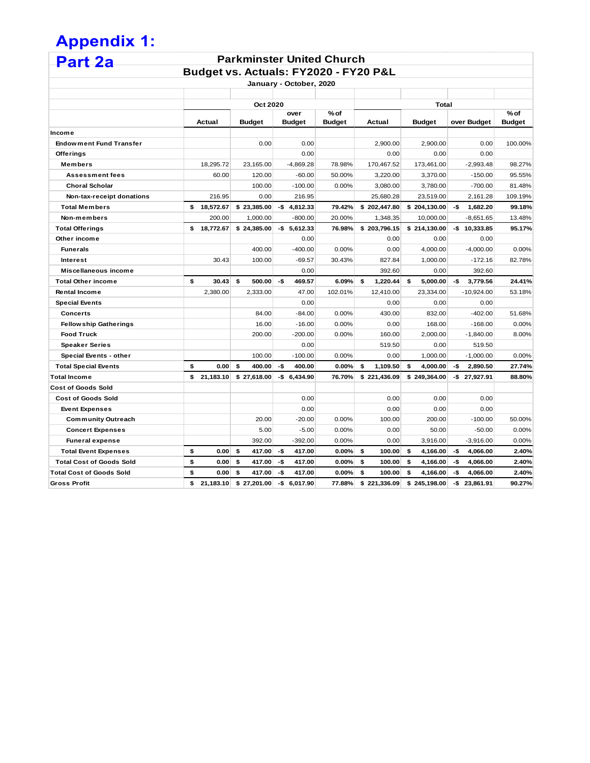## **Appendix 1: Part 2a**

#### **Parkminster United Church Budget vs. Actuals: FY2020 - FY20 P&L**

| January - October, 2020         |    |           |               |     |                       |                       |    |              |       |               |     |                |                         |  |
|---------------------------------|----|-----------|---------------|-----|-----------------------|-----------------------|----|--------------|-------|---------------|-----|----------------|-------------------------|--|
|                                 |    |           | Oct 2020      |     |                       |                       |    |              | Total |               |     |                |                         |  |
|                                 |    | Actual    | <b>Budget</b> |     | over<br><b>Budget</b> | % of<br><b>Budget</b> |    | Actual       |       | <b>Budget</b> |     | over Budget    | $%$ of<br><b>Budget</b> |  |
| Income                          |    |           |               |     |                       |                       |    |              |       |               |     |                |                         |  |
| <b>Endowment Fund Transfer</b>  |    |           | 0.00          |     | 0.00                  |                       |    | 2,900.00     |       | 2,900.00      |     | 0.00           | 100.00%                 |  |
| Offerings                       |    |           |               |     | 0.00                  |                       |    | 0.00         |       | 0.00          |     | 0.00           |                         |  |
| Members                         |    | 18,295.72 | 23,165.00     |     | $-4,869.28$           | 78.98%                |    | 170,467.52   |       | 173,461.00    |     | $-2,993.48$    | 98.27%                  |  |
| Assessment fees                 |    | 60.00     | 120.00        |     | $-60.00$              | 50.00%                |    | 3,220.00     |       | 3,370.00      |     | $-150.00$      | 95.55%                  |  |
| <b>Choral Scholar</b>           |    |           | 100.00        |     | $-100.00$             | 0.00%                 |    | 3,080.00     |       | 3,780.00      |     | $-700.00$      | 81.48%                  |  |
| Non-tax-receipt donations       |    | 216.95    | 0.00          |     | 216.95                |                       |    | 25,680.28    |       | 23,519.00     |     | 2,161.28       | 109.19%                 |  |
| <b>Total Members</b>            | \$ | 18,572.67 | \$23,385.00   | -\$ | 4,812.33              | 79.42%                |    | \$202,447.80 |       | \$204,130.00  | -\$ | 1,682.20       | 99.18%                  |  |
| Non-members                     |    | 200.00    | 1,000.00      |     | $-800.00$             | 20.00%                |    | 1,348.35     |       | 10,000.00     |     | $-8,651.65$    | 13.48%                  |  |
| <b>Total Offerings</b>          | \$ | 18,772.67 | \$24,385.00   | -\$ | 5,612.33              | 76.98%                |    | \$203,796.15 |       | \$214,130.00  |     | $-$$ 10,333.85 | 95.17%                  |  |
| Other income                    |    |           |               |     | 0.00                  |                       |    | 0.00         |       | 0.00          |     | 0.00           |                         |  |
| <b>Funerals</b>                 |    |           | 400.00        |     | $-400.00$             | 0.00%                 |    | 0.00         |       | 4,000.00      |     | $-4,000.00$    | 0.00%                   |  |
| <b>Interest</b>                 |    | 30.43     | 100.00        |     | $-69.57$              | 30.43%                |    | 827.84       |       | 1.000.00      |     | $-172.16$      | 82.78%                  |  |
| Miscellaneous income            |    |           |               |     | 0.00                  |                       |    | 392.60       |       | 0.00          |     | 392.60         |                         |  |
| <b>Total Other income</b>       | \$ | 30.43     | 500.00<br>\$  | -\$ | 469.57                | 6.09%                 | \$ | 1,220.44     | \$    | 5,000.00      | -\$ | 3,779.56       | 24.41%                  |  |
| <b>Rental Income</b>            |    | 2,380.00  | 2,333.00      |     | 47.00                 | 102.01%               |    | 12,410.00    |       | 23,334.00     |     | $-10,924.00$   | 53.18%                  |  |
| <b>Special Events</b>           |    |           |               |     | 0.00                  |                       |    | 0.00         |       | 0.00          |     | 0.00           |                         |  |
| Concerts                        |    |           | 84.00         |     | $-84.00$              | 0.00%                 |    | 430.00       |       | 832.00        |     | $-402.00$      | 51.68%                  |  |
| <b>Fellowship Gatherings</b>    |    |           | 16.00         |     | $-16.00$              | 0.00%                 |    | 0.00         |       | 168.00        |     | $-168.00$      | 0.00%                   |  |
| <b>Food Truck</b>               |    |           | 200.00        |     | $-200.00$             | 0.00%                 |    | 160.00       |       | 2,000.00      |     | $-1,840.00$    | 8.00%                   |  |
| <b>Speaker Series</b>           |    |           |               |     | 0.00                  |                       |    | 519.50       |       | 0.00          |     | 519.50         |                         |  |
| Special Events - other          |    |           | 100.00        |     | $-100.00$             | 0.00%                 |    | 0.00         |       | 1,000.00      |     | $-1,000.00$    | 0.00%                   |  |
| <b>Total Special Events</b>     | \$ | 0.00      | \$<br>400.00  | -\$ | 400.00                | 0.00%                 | \$ | 1.109.50     | \$    | 4.000.00      | -\$ | 2.890.50       | 27.74%                  |  |
| <b>Total Income</b>             | \$ | 21,183.10 | \$27,618.00   |     | $-$6,434.90$          | 76.70%                |    | \$221,436.09 |       | \$249,364.00  |     | $-$27,927.91$  | 88.80%                  |  |
| <b>Cost of Goods Sold</b>       |    |           |               |     |                       |                       |    |              |       |               |     |                |                         |  |
| <b>Cost of Goods Sold</b>       |    |           |               |     | 0.00                  |                       |    | 0.00         |       | 0.00          |     | 0.00           |                         |  |
| <b>Event Expenses</b>           |    |           |               |     | 0.00                  |                       |    | 0.00         |       | 0.00          |     | 0.00           |                         |  |
| <b>Community Outreach</b>       |    |           | 20.00         |     | $-20.00$              | 0.00%                 |    | 100.00       |       | 200.00        |     | $-100.00$      | 50.00%                  |  |
| <b>Concert Expenses</b>         |    |           | 5.00          |     | $-5.00$               | 0.00%                 |    | 0.00         |       | 50.00         |     | $-50.00$       | 0.00%                   |  |
| <b>Funeral expense</b>          |    |           | 392.00        |     | $-392.00$             | 0.00%                 |    | 0.00         |       | 3,916.00      |     | $-3,916.00$    | 0.00%                   |  |
| <b>Total Event Expenses</b>     | \$ | 0.00      | \$<br>417.00  | -\$ | 417.00                | $0.00\%$              | \$ | 100.00       | \$    | 4,166.00      | -\$ | 4,066.00       | 2.40%                   |  |
| <b>Total Cost of Goods Sold</b> | \$ | 0.00      | \$<br>417.00  | -\$ | 417.00                | $0.00\%$              | \$ | 100.00       | \$    | 4,166.00      | -\$ | 4,066.00       | 2.40%                   |  |
| <b>Total Cost of Goods Sold</b> | \$ | 0.00      | \$<br>417.00  | -\$ | 417.00                | 0.00%                 | \$ | 100.00       | \$    | 4,166.00      | -\$ | 4,066.00       | 2.40%                   |  |
| <b>Gross Profit</b>             | \$ | 21,183.10 | \$27,201.00   | -\$ | 6,017.90              | 77.88%                |    | \$221,336.09 |       | \$245,198.00  |     | $-$23,861.91$  | 90.27%                  |  |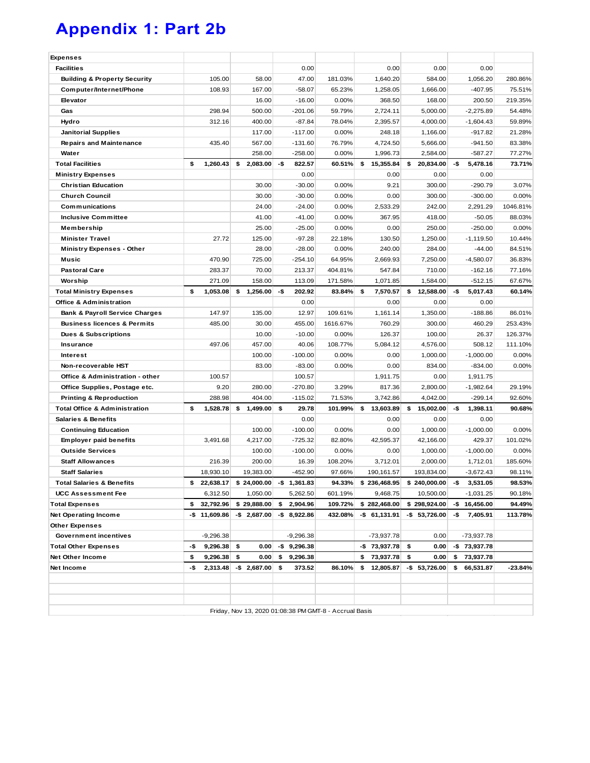# **Appendix 1: Part 2b**

| 105.00<br>108.93<br>298.94<br>312.16<br>435.40<br>1,260.43<br>27.72<br>470.90<br>283.37<br>271.09<br>1.053.08 | \$<br>58.00<br>167.00<br>16.00<br>500.00<br>400.00<br>117.00<br>567.00<br>258.00<br>2,083.00<br>30.00<br>30.00<br>24.00<br>41.00<br>25.00<br>125.00<br>28.00<br>725.00 | -\$                                                                                                        | 0.00<br>47.00<br>$-58.07$<br>$-16.00$<br>-201.06<br>$-87.84$<br>$-117.00$<br>$-131.60$<br>$-258.00$<br>822.57<br>0.00<br>$-30.00$<br>$-30.00$<br>$-24.00$<br>$-41.00$<br>$-25.00$<br>$-97.28$ | 181.03%<br>65.23%<br>0.00%<br>59.79%<br>78.04%<br>0.00%<br>76.79%<br>0.00%<br>60.51%<br>0.00%<br>0.00%<br>0.00%<br>0.00%<br>0.00% | \$<br>0.00<br>1,640.20<br>1,258.05<br>368.50<br>2,724.11<br>2,395.57<br>248.18<br>4,724.50<br>1,996.73<br>15,355.84<br>0.00<br>9.21<br>0.00<br>2,533.29<br>367.95 | \$                                               | 0.00<br>584.00<br>1,666.00<br>168.00<br>5,000.00<br>4,000.00<br>1,166.00<br>5,666.00<br>2,584.00<br>20,834.00<br>0.00<br>300.00<br>300.00<br>242.00 | -\$                                                  | 0.00<br>1,056.20<br>$-407.95$<br>200.50<br>$-2,275.89$<br>$-1,604.43$<br>$-917.82$<br>$-941.50$<br>$-587.27$<br>5,478.16<br>0.00<br>$-290.79$<br>$-300.00$ | 280.86%<br>75.51%<br>219.35%<br>54.48%<br>59.89%<br>21.28%<br>83.38%<br>77.27%<br>73.71%<br>3.07%<br>0.00% |
|---------------------------------------------------------------------------------------------------------------|------------------------------------------------------------------------------------------------------------------------------------------------------------------------|------------------------------------------------------------------------------------------------------------|-----------------------------------------------------------------------------------------------------------------------------------------------------------------------------------------------|-----------------------------------------------------------------------------------------------------------------------------------|-------------------------------------------------------------------------------------------------------------------------------------------------------------------|--------------------------------------------------|-----------------------------------------------------------------------------------------------------------------------------------------------------|------------------------------------------------------|------------------------------------------------------------------------------------------------------------------------------------------------------------|------------------------------------------------------------------------------------------------------------|
|                                                                                                               |                                                                                                                                                                        |                                                                                                            |                                                                                                                                                                                               |                                                                                                                                   |                                                                                                                                                                   |                                                  |                                                                                                                                                     |                                                      |                                                                                                                                                            |                                                                                                            |
|                                                                                                               |                                                                                                                                                                        |                                                                                                            |                                                                                                                                                                                               |                                                                                                                                   |                                                                                                                                                                   |                                                  |                                                                                                                                                     |                                                      |                                                                                                                                                            |                                                                                                            |
|                                                                                                               |                                                                                                                                                                        |                                                                                                            |                                                                                                                                                                                               |                                                                                                                                   |                                                                                                                                                                   |                                                  |                                                                                                                                                     |                                                      |                                                                                                                                                            |                                                                                                            |
|                                                                                                               |                                                                                                                                                                        |                                                                                                            |                                                                                                                                                                                               |                                                                                                                                   |                                                                                                                                                                   |                                                  |                                                                                                                                                     |                                                      |                                                                                                                                                            |                                                                                                            |
|                                                                                                               |                                                                                                                                                                        |                                                                                                            |                                                                                                                                                                                               |                                                                                                                                   |                                                                                                                                                                   |                                                  |                                                                                                                                                     |                                                      |                                                                                                                                                            |                                                                                                            |
|                                                                                                               |                                                                                                                                                                        |                                                                                                            |                                                                                                                                                                                               |                                                                                                                                   |                                                                                                                                                                   |                                                  |                                                                                                                                                     |                                                      |                                                                                                                                                            |                                                                                                            |
|                                                                                                               |                                                                                                                                                                        |                                                                                                            |                                                                                                                                                                                               |                                                                                                                                   |                                                                                                                                                                   |                                                  |                                                                                                                                                     |                                                      |                                                                                                                                                            |                                                                                                            |
|                                                                                                               |                                                                                                                                                                        |                                                                                                            |                                                                                                                                                                                               |                                                                                                                                   |                                                                                                                                                                   |                                                  |                                                                                                                                                     |                                                      |                                                                                                                                                            |                                                                                                            |
|                                                                                                               |                                                                                                                                                                        |                                                                                                            |                                                                                                                                                                                               |                                                                                                                                   |                                                                                                                                                                   |                                                  |                                                                                                                                                     |                                                      |                                                                                                                                                            |                                                                                                            |
|                                                                                                               |                                                                                                                                                                        |                                                                                                            |                                                                                                                                                                                               |                                                                                                                                   |                                                                                                                                                                   |                                                  |                                                                                                                                                     |                                                      |                                                                                                                                                            |                                                                                                            |
|                                                                                                               |                                                                                                                                                                        |                                                                                                            |                                                                                                                                                                                               |                                                                                                                                   |                                                                                                                                                                   |                                                  |                                                                                                                                                     |                                                      |                                                                                                                                                            |                                                                                                            |
|                                                                                                               |                                                                                                                                                                        |                                                                                                            |                                                                                                                                                                                               |                                                                                                                                   |                                                                                                                                                                   |                                                  |                                                                                                                                                     |                                                      |                                                                                                                                                            |                                                                                                            |
|                                                                                                               |                                                                                                                                                                        |                                                                                                            |                                                                                                                                                                                               |                                                                                                                                   |                                                                                                                                                                   |                                                  |                                                                                                                                                     |                                                      |                                                                                                                                                            |                                                                                                            |
|                                                                                                               |                                                                                                                                                                        |                                                                                                            |                                                                                                                                                                                               |                                                                                                                                   |                                                                                                                                                                   |                                                  |                                                                                                                                                     |                                                      |                                                                                                                                                            |                                                                                                            |
|                                                                                                               |                                                                                                                                                                        |                                                                                                            |                                                                                                                                                                                               |                                                                                                                                   |                                                                                                                                                                   |                                                  |                                                                                                                                                     |                                                      | 2,291.29                                                                                                                                                   | 1046.81%                                                                                                   |
|                                                                                                               |                                                                                                                                                                        |                                                                                                            |                                                                                                                                                                                               |                                                                                                                                   |                                                                                                                                                                   |                                                  | 418.00                                                                                                                                              |                                                      | $-50.05$                                                                                                                                                   | 88.03%                                                                                                     |
|                                                                                                               |                                                                                                                                                                        |                                                                                                            |                                                                                                                                                                                               |                                                                                                                                   | 0.00                                                                                                                                                              |                                                  | 250.00                                                                                                                                              |                                                      | $-250.00$                                                                                                                                                  | 0.00%                                                                                                      |
|                                                                                                               |                                                                                                                                                                        |                                                                                                            |                                                                                                                                                                                               | 22.18%                                                                                                                            | 130.50                                                                                                                                                            |                                                  | 1,250.00                                                                                                                                            |                                                      | $-1,119.50$                                                                                                                                                | 10.44%                                                                                                     |
|                                                                                                               |                                                                                                                                                                        |                                                                                                            | $-28.00$                                                                                                                                                                                      | 0.00%                                                                                                                             | 240.00                                                                                                                                                            |                                                  | 284.00                                                                                                                                              |                                                      | $-44.00$                                                                                                                                                   | 84.51%                                                                                                     |
|                                                                                                               |                                                                                                                                                                        |                                                                                                            | $-254.10$                                                                                                                                                                                     | 64.95%                                                                                                                            | 2,669.93                                                                                                                                                          |                                                  | 7,250.00                                                                                                                                            |                                                      | $-4,580.07$                                                                                                                                                | 36.83%                                                                                                     |
|                                                                                                               |                                                                                                                                                                        |                                                                                                            | 213.37                                                                                                                                                                                        | 404.81%                                                                                                                           | 547.84                                                                                                                                                            |                                                  | 710.00                                                                                                                                              |                                                      | $-162.16$                                                                                                                                                  | 77.16%                                                                                                     |
|                                                                                                               | 158.00                                                                                                                                                                 |                                                                                                            | 113.09                                                                                                                                                                                        | 171.58%                                                                                                                           | 1,071.85                                                                                                                                                          |                                                  | 1,584.00                                                                                                                                            |                                                      | $-512.15$                                                                                                                                                  | 67.67%                                                                                                     |
|                                                                                                               | \$                                                                                                                                                                     | -\$                                                                                                        | 202.92                                                                                                                                                                                        | 83.84%                                                                                                                            | \$<br>7,570.57                                                                                                                                                    | \$                                               | 12,588.00                                                                                                                                           | -\$                                                  | 5,017.43                                                                                                                                                   | 60.14%                                                                                                     |
|                                                                                                               |                                                                                                                                                                        |                                                                                                            | 0.00                                                                                                                                                                                          |                                                                                                                                   | 0.00                                                                                                                                                              |                                                  | 0.00                                                                                                                                                |                                                      | 0.00                                                                                                                                                       |                                                                                                            |
| 147.97                                                                                                        | 135.00                                                                                                                                                                 |                                                                                                            | 12.97                                                                                                                                                                                         | 109.61%                                                                                                                           | 1,161.14                                                                                                                                                          |                                                  | 1,350.00                                                                                                                                            |                                                      | $-188.86$                                                                                                                                                  | 86.01%                                                                                                     |
| 485.00                                                                                                        | 30.00                                                                                                                                                                  |                                                                                                            | 455.00                                                                                                                                                                                        | 1616.67%                                                                                                                          | 760.29                                                                                                                                                            |                                                  | 300.00                                                                                                                                              |                                                      | 460.29                                                                                                                                                     | 253.43%                                                                                                    |
|                                                                                                               | 10.00                                                                                                                                                                  |                                                                                                            | $-10.00$                                                                                                                                                                                      | 0.00%                                                                                                                             | 126.37                                                                                                                                                            |                                                  | 100.00                                                                                                                                              |                                                      | 26.37                                                                                                                                                      | 126.37%                                                                                                    |
| 497.06                                                                                                        | 457.00                                                                                                                                                                 |                                                                                                            | 40.06                                                                                                                                                                                         | 108.77%                                                                                                                           | 5,084.12                                                                                                                                                          |                                                  | 4,576.00                                                                                                                                            |                                                      | 508.12                                                                                                                                                     | 111.10%                                                                                                    |
|                                                                                                               | 100.00                                                                                                                                                                 |                                                                                                            | $-100.00$                                                                                                                                                                                     | 0.00%                                                                                                                             | 0.00                                                                                                                                                              |                                                  | 1,000.00                                                                                                                                            |                                                      | $-1,000.00$                                                                                                                                                | 0.00%                                                                                                      |
|                                                                                                               | 83.00                                                                                                                                                                  |                                                                                                            | $-83.00$                                                                                                                                                                                      | 0.00%                                                                                                                             | 0.00                                                                                                                                                              |                                                  | 834.00                                                                                                                                              |                                                      | $-834.00$                                                                                                                                                  | 0.00%                                                                                                      |
| 100.57                                                                                                        |                                                                                                                                                                        |                                                                                                            | 100.57                                                                                                                                                                                        |                                                                                                                                   | 1,911.75                                                                                                                                                          |                                                  | 0.00                                                                                                                                                |                                                      | 1,911.75                                                                                                                                                   |                                                                                                            |
| 9.20                                                                                                          | 280.00                                                                                                                                                                 |                                                                                                            | $-270.80$                                                                                                                                                                                     | 3.29%                                                                                                                             | 817.36                                                                                                                                                            |                                                  | 2,800.00                                                                                                                                            |                                                      | $-1,982.64$                                                                                                                                                | 29.19%                                                                                                     |
| 288.98                                                                                                        | 404.00                                                                                                                                                                 |                                                                                                            | $-115.02$                                                                                                                                                                                     | 71.53%                                                                                                                            | 3,742.86                                                                                                                                                          |                                                  | 4,042.00                                                                                                                                            |                                                      | $-299.14$                                                                                                                                                  | 92.60%                                                                                                     |
| 1,528.78                                                                                                      | \$                                                                                                                                                                     | \$                                                                                                         | 29.78                                                                                                                                                                                         | 101.99%                                                                                                                           | \$<br>13,603.89                                                                                                                                                   | \$                                               | 15,002.00                                                                                                                                           | -\$                                                  | 1,398.11                                                                                                                                                   | 90.68%                                                                                                     |
|                                                                                                               |                                                                                                                                                                        |                                                                                                            | 0.00                                                                                                                                                                                          |                                                                                                                                   | 0.00                                                                                                                                                              |                                                  | 0.00                                                                                                                                                |                                                      | 0.00                                                                                                                                                       |                                                                                                            |
|                                                                                                               | 100.00                                                                                                                                                                 |                                                                                                            | $-100.00$                                                                                                                                                                                     | 0.00%                                                                                                                             | 0.00                                                                                                                                                              |                                                  | 1,000.00                                                                                                                                            |                                                      | $-1,000.00$                                                                                                                                                | 0.00%                                                                                                      |
| 3,491.68                                                                                                      | 4,217.00                                                                                                                                                               |                                                                                                            | $-725.32$                                                                                                                                                                                     | 82.80%                                                                                                                            | 42,595.37                                                                                                                                                         |                                                  | 42,166.00                                                                                                                                           |                                                      | 429.37                                                                                                                                                     | 101.02%                                                                                                    |
|                                                                                                               | 100.00                                                                                                                                                                 |                                                                                                            | $-100.00$                                                                                                                                                                                     | 0.00%                                                                                                                             | 0.00                                                                                                                                                              |                                                  | 1,000.00                                                                                                                                            |                                                      | $-1,000.00$                                                                                                                                                | 0.00%                                                                                                      |
| 216.39                                                                                                        | 200.00                                                                                                                                                                 |                                                                                                            | 16.39                                                                                                                                                                                         | 108.20%                                                                                                                           | 3,712.01                                                                                                                                                          |                                                  | 2,000.00                                                                                                                                            |                                                      | 1,712.01                                                                                                                                                   | 185.60%                                                                                                    |
| 18,930.10                                                                                                     | 19,383.00                                                                                                                                                              |                                                                                                            | $-452.90$                                                                                                                                                                                     | 97.66%                                                                                                                            | 190,161.57                                                                                                                                                        |                                                  | 193,834.00                                                                                                                                          |                                                      | $-3,672.43$                                                                                                                                                | 98.11%                                                                                                     |
| 22,638.17                                                                                                     |                                                                                                                                                                        |                                                                                                            | 1,361.83                                                                                                                                                                                      | 94.33%                                                                                                                            |                                                                                                                                                                   |                                                  |                                                                                                                                                     |                                                      | 3,531.05                                                                                                                                                   | 98.53%                                                                                                     |
| 6,312.50                                                                                                      | 1,050.00                                                                                                                                                               |                                                                                                            | 5,262.50                                                                                                                                                                                      | 601.19%                                                                                                                           | 9,468.75                                                                                                                                                          |                                                  | 10,500.00                                                                                                                                           |                                                      | $-1,031.25$                                                                                                                                                | 90.18%                                                                                                     |
| 32,792.96                                                                                                     |                                                                                                                                                                        | \$                                                                                                         | 2,904.96                                                                                                                                                                                      | 109.72%                                                                                                                           |                                                                                                                                                                   |                                                  |                                                                                                                                                     | -\$                                                  |                                                                                                                                                            | 94.49%                                                                                                     |
| $-$$ 11,609.86                                                                                                |                                                                                                                                                                        |                                                                                                            |                                                                                                                                                                                               | 432.08%                                                                                                                           |                                                                                                                                                                   |                                                  |                                                                                                                                                     | -\$                                                  | 7,405.91                                                                                                                                                   | 113.78%                                                                                                    |
|                                                                                                               |                                                                                                                                                                        |                                                                                                            |                                                                                                                                                                                               |                                                                                                                                   |                                                                                                                                                                   |                                                  |                                                                                                                                                     |                                                      |                                                                                                                                                            |                                                                                                            |
| $-9,296.38$                                                                                                   |                                                                                                                                                                        |                                                                                                            | -9,296.38                                                                                                                                                                                     |                                                                                                                                   | -73,937.78                                                                                                                                                        |                                                  | 0.00                                                                                                                                                |                                                      |                                                                                                                                                            |                                                                                                            |
|                                                                                                               | \$                                                                                                                                                                     |                                                                                                            | 9,296.38                                                                                                                                                                                      |                                                                                                                                   |                                                                                                                                                                   | - \$                                             | 0.00                                                                                                                                                |                                                      |                                                                                                                                                            |                                                                                                            |
| 9,296.38                                                                                                      | \$                                                                                                                                                                     | \$                                                                                                         | 9,296.38                                                                                                                                                                                      |                                                                                                                                   | \$<br>73,937.78                                                                                                                                                   | \$                                               | 0.00                                                                                                                                                | \$                                                   | 73,937.78                                                                                                                                                  |                                                                                                            |
| 2,313.48                                                                                                      |                                                                                                                                                                        | \$                                                                                                         | 373.52                                                                                                                                                                                        | 86.10%                                                                                                                            | \$<br>12,805.87                                                                                                                                                   |                                                  |                                                                                                                                                     | \$                                                   | 66,531.87                                                                                                                                                  | -23.84%                                                                                                    |
|                                                                                                               |                                                                                                                                                                        |                                                                                                            |                                                                                                                                                                                               |                                                                                                                                   |                                                                                                                                                                   |                                                  |                                                                                                                                                     |                                                      |                                                                                                                                                            |                                                                                                            |
|                                                                                                               |                                                                                                                                                                        |                                                                                                            |                                                                                                                                                                                               |                                                                                                                                   |                                                                                                                                                                   |                                                  |                                                                                                                                                     |                                                      |                                                                                                                                                            |                                                                                                            |
|                                                                                                               |                                                                                                                                                                        |                                                                                                            |                                                                                                                                                                                               |                                                                                                                                   |                                                                                                                                                                   |                                                  |                                                                                                                                                     |                                                      |                                                                                                                                                            |                                                                                                            |
|                                                                                                               | 9,296.38                                                                                                                                                               | 70.00<br>1,499.00<br>\$24,000.00<br>0.00<br>0.00<br>Friday, Nov 13, 2020 01:08:38 PM GMT-8 - Accrual Basis | 1,256.00<br>\$29,888.00<br>$-$ \$ 2,687.00<br>$-$ \$ 2,687.00                                                                                                                                 | $-$ \$ 8,922.86<br>-\$                                                                                                            |                                                                                                                                                                   | \$236,468.95<br>\$282,468.00<br>$-$ \$ 61,131.91 | $-$73,937.78$                                                                                                                                       | \$298,924.00<br>$-$ \$ 53,726.00<br>$-$ \$ 53,726.00 | \$240,000.00                                                                                                                                               | 16,456.00<br>-73,937.78<br>$-$73,937.78$                                                                   |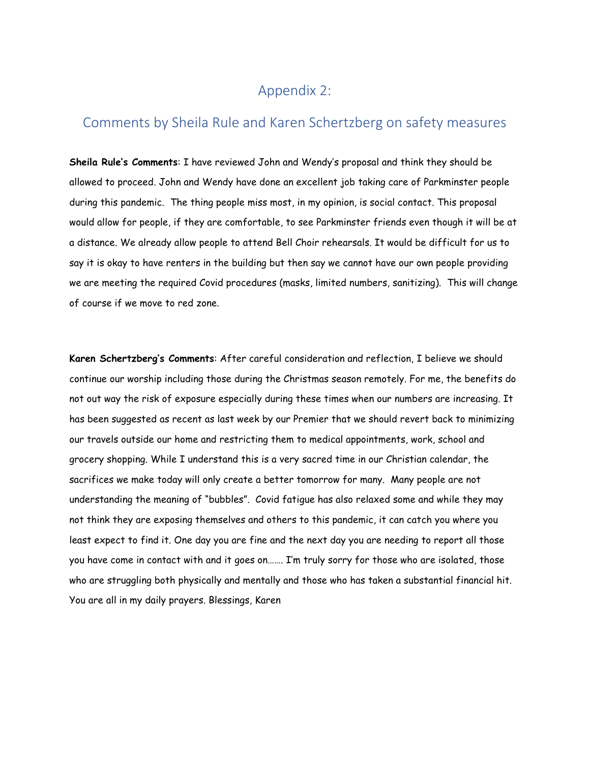### Appendix 2:

### Comments by Sheila Rule and Karen Schertzberg on safety measures

**Sheila Rule's Comments**: I have reviewed John and Wendy's proposal and think they should be allowed to proceed. John and Wendy have done an excellent job taking care of Parkminster people during this pandemic. The thing people miss most, in my opinion, is social contact. This proposal would allow for people, if they are comfortable, to see Parkminster friends even though it will be at a distance. We already allow people to attend Bell Choir rehearsals. It would be difficult for us to say it is okay to have renters in the building but then say we cannot have our own people providing we are meeting the required Covid procedures (masks, limited numbers, sanitizing). This will change of course if we move to red zone.

**Karen Schertzberg's Comments**: After careful consideration and reflection, I believe we should continue our worship including those during the Christmas season remotely. For me, the benefits do not out way the risk of exposure especially during these times when our numbers are increasing. It has been suggested as recent as last week by our Premier that we should revert back to minimizing our travels outside our home and restricting them to medical appointments, work, school and grocery shopping. While I understand this is a very sacred time in our Christian calendar, the sacrifices we make today will only create a better tomorrow for many. Many people are not understanding the meaning of "bubbles". Covid fatigue has also relaxed some and while they may not think they are exposing themselves and others to this pandemic, it can catch you where you least expect to find it. One day you are fine and the next day you are needing to report all those you have come in contact with and it goes on……. I'm truly sorry for those who are isolated, those who are struggling both physically and mentally and those who has taken a substantial financial hit. You are all in my daily prayers. Blessings, Karen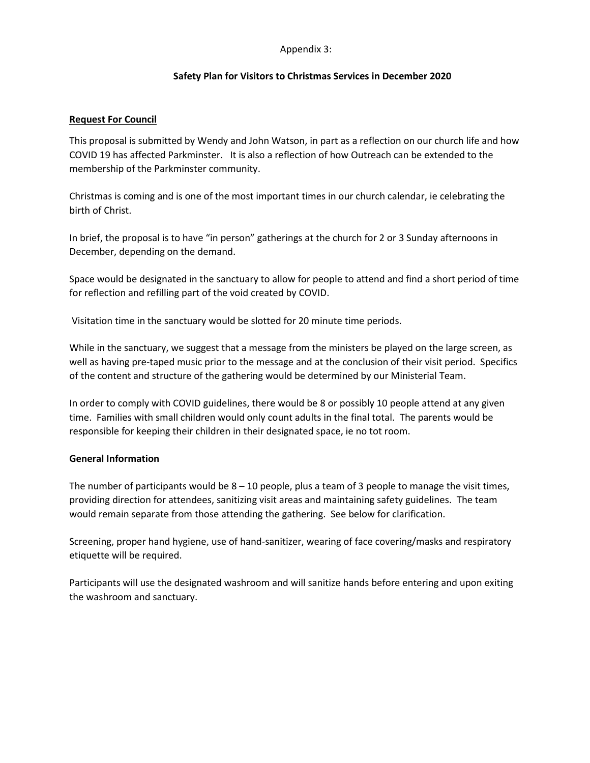#### Appendix 3:

#### **Safety Plan for Visitors to Christmas Services in December 2020**

#### **Request For Council**

This proposal is submitted by Wendy and John Watson, in part as a reflection on our church life and how COVID 19 has affected Parkminster. It is also a reflection of how Outreach can be extended to the membership of the Parkminster community.

Christmas is coming and is one of the most important times in our church calendar, ie celebrating the birth of Christ.

In brief, the proposal is to have "in person" gatherings at the church for 2 or 3 Sunday afternoons in December, depending on the demand.

Space would be designated in the sanctuary to allow for people to attend and find a short period of time for reflection and refilling part of the void created by COVID.

Visitation time in the sanctuary would be slotted for 20 minute time periods.

While in the sanctuary, we suggest that a message from the ministers be played on the large screen, as well as having pre-taped music prior to the message and at the conclusion of their visit period. Specifics of the content and structure of the gathering would be determined by our Ministerial Team.

In order to comply with COVID guidelines, there would be 8 or possibly 10 people attend at any given time. Families with small children would only count adults in the final total. The parents would be responsible for keeping their children in their designated space, ie no tot room.

#### **General Information**

The number of participants would be  $8 - 10$  people, plus a team of 3 people to manage the visit times, providing direction for attendees, sanitizing visit areas and maintaining safety guidelines. The team would remain separate from those attending the gathering. See below for clarification.

Screening, proper hand hygiene, use of hand-sanitizer, wearing of face covering/masks and respiratory etiquette will be required.

Participants will use the designated washroom and will sanitize hands before entering and upon exiting the washroom and sanctuary.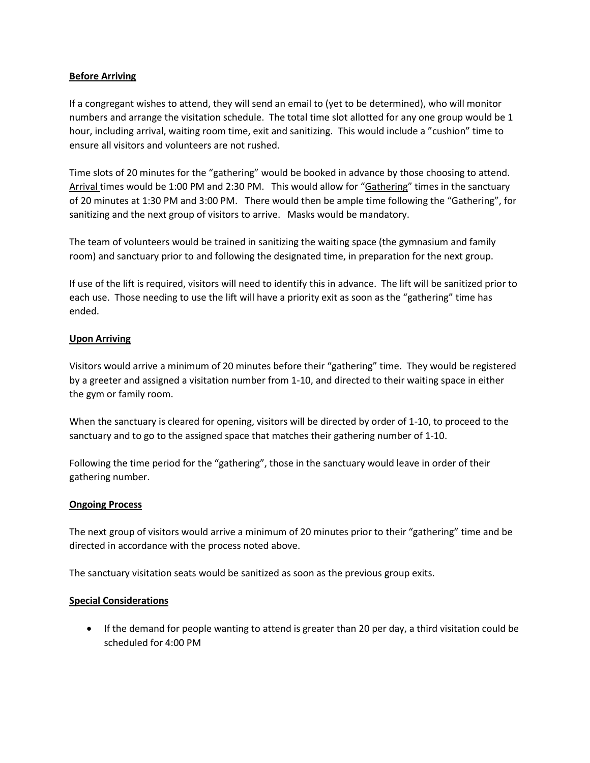#### **Before Arriving**

If a congregant wishes to attend, they will send an email to (yet to be determined), who will monitor numbers and arrange the visitation schedule. The total time slot allotted for any one group would be 1 hour, including arrival, waiting room time, exit and sanitizing. This would include a "cushion" time to ensure all visitors and volunteers are not rushed.

Time slots of 20 minutes for the "gathering" would be booked in advance by those choosing to attend. Arrival times would be 1:00 PM and 2:30 PM. This would allow for "Gathering" times in the sanctuary of 20 minutes at 1:30 PM and 3:00 PM. There would then be ample time following the "Gathering", for sanitizing and the next group of visitors to arrive. Masks would be mandatory.

The team of volunteers would be trained in sanitizing the waiting space (the gymnasium and family room) and sanctuary prior to and following the designated time, in preparation for the next group.

If use of the lift is required, visitors will need to identify this in advance. The lift will be sanitized prior to each use. Those needing to use the lift will have a priority exit as soon as the "gathering" time has ended.

#### **Upon Arriving**

Visitors would arrive a minimum of 20 minutes before their "gathering" time. They would be registered by a greeter and assigned a visitation number from 1-10, and directed to their waiting space in either the gym or family room.

When the sanctuary is cleared for opening, visitors will be directed by order of 1-10, to proceed to the sanctuary and to go to the assigned space that matches their gathering number of 1-10.

Following the time period for the "gathering", those in the sanctuary would leave in order of their gathering number.

#### **Ongoing Process**

The next group of visitors would arrive a minimum of 20 minutes prior to their "gathering" time and be directed in accordance with the process noted above.

The sanctuary visitation seats would be sanitized as soon as the previous group exits.

#### **Special Considerations**

• If the demand for people wanting to attend is greater than 20 per day, a third visitation could be scheduled for 4:00 PM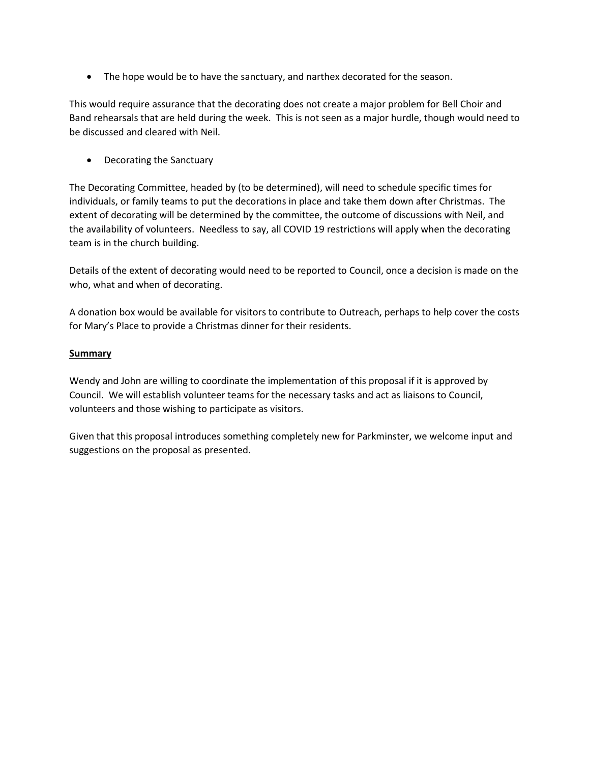• The hope would be to have the sanctuary, and narthex decorated for the season.

This would require assurance that the decorating does not create a major problem for Bell Choir and Band rehearsals that are held during the week. This is not seen as a major hurdle, though would need to be discussed and cleared with Neil.

• Decorating the Sanctuary

The Decorating Committee, headed by (to be determined), will need to schedule specific times for individuals, or family teams to put the decorations in place and take them down after Christmas. The extent of decorating will be determined by the committee, the outcome of discussions with Neil, and the availability of volunteers. Needless to say, all COVID 19 restrictions will apply when the decorating team is in the church building.

Details of the extent of decorating would need to be reported to Council, once a decision is made on the who, what and when of decorating.

A donation box would be available for visitors to contribute to Outreach, perhaps to help cover the costs for Mary's Place to provide a Christmas dinner for their residents.

#### **Summary**

Wendy and John are willing to coordinate the implementation of this proposal if it is approved by Council. We will establish volunteer teams for the necessary tasks and act as liaisons to Council, volunteers and those wishing to participate as visitors.

Given that this proposal introduces something completely new for Parkminster, we welcome input and suggestions on the proposal as presented.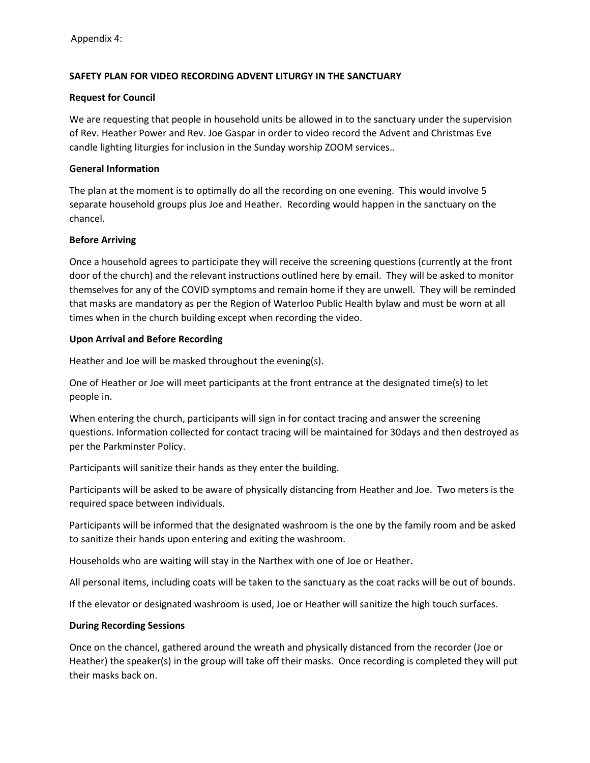#### **SAFETY PLAN FOR VIDEO RECORDING ADVENT LITURGY IN THE SANCTUARY**

#### **Request for Council**

We are requesting that people in household units be allowed in to the sanctuary under the supervision of Rev. Heather Power and Rev. Joe Gaspar in order to video record the Advent and Christmas Eve candle lighting liturgies for inclusion in the Sunday worship ZOOM services..

#### **General Information**

The plan at the moment is to optimally do all the recording on one evening. This would involve 5 separate household groups plus Joe and Heather. Recording would happen in the sanctuary on the chancel.

#### **Before Arriving**

Once a household agrees to participate they will receive the screening questions (currently at the front door of the church) and the relevant instructions outlined here by email. They will be asked to monitor themselves for any of the COVID symptoms and remain home if they are unwell. They will be reminded that masks are mandatory as per the Region of Waterloo Public Health bylaw and must be worn at all times when in the church building except when recording the video.

#### **Upon Arrival and Before Recording**

Heather and Joe will be masked throughout the evening(s).

One of Heather or Joe will meet participants at the front entrance at the designated time(s) to let people in.

When entering the church, participants will sign in for contact tracing and answer the screening questions. Information collected for contact tracing will be maintained for 30days and then destroyed as per the Parkminster Policy.

Participants will sanitize their hands as they enter the building.

Participants will be asked to be aware of physically distancing from Heather and Joe. Two meters is the required space between individuals.

Participants will be informed that the designated washroom is the one by the family room and be asked to sanitize their hands upon entering and exiting the washroom.

Households who are waiting will stay in the Narthex with one of Joe or Heather.

All personal items, including coats will be taken to the sanctuary as the coat racks will be out of bounds.

If the elevator or designated washroom is used, Joe or Heather will sanitize the high touch surfaces.

#### **During Recording Sessions**

Once on the chancel, gathered around the wreath and physically distanced from the recorder (Joe or Heather) the speaker(s) in the group will take off their masks. Once recording is completed they will put their masks back on.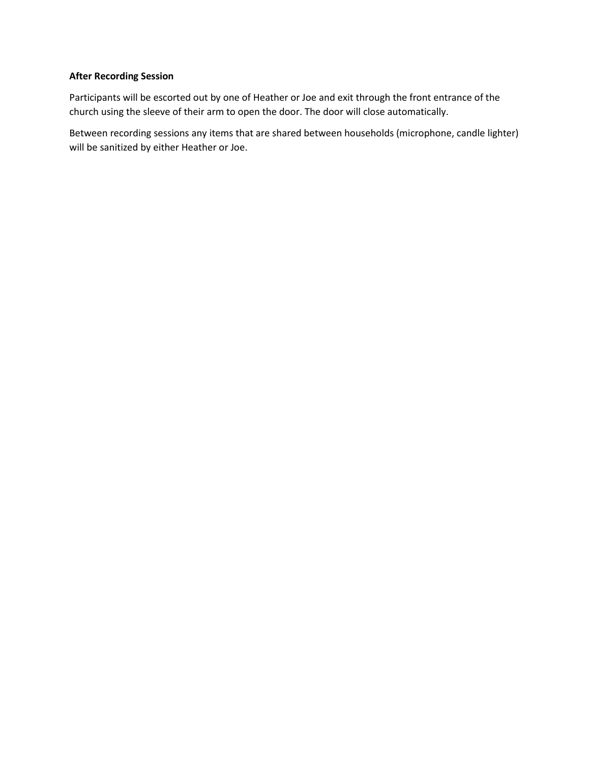#### **After Recording Session**

Participants will be escorted out by one of Heather or Joe and exit through the front entrance of the church using the sleeve of their arm to open the door. The door will close automatically.

Between recording sessions any items that are shared between households (microphone, candle lighter) will be sanitized by either Heather or Joe.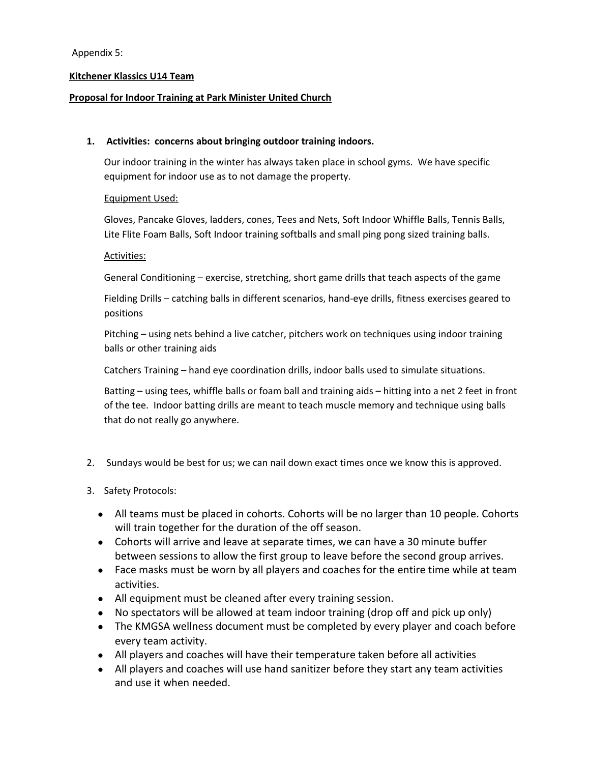#### Appendix 5:

#### **Kitchener Klassics U14 Team**

#### **Proposal for Indoor Training at Park Minister United Church**

#### **1. Activities: concerns about bringing outdoor training indoors.**

Our indoor training in the winter has always taken place in school gyms. We have specific equipment for indoor use as to not damage the property.

#### Equipment Used:

Gloves, Pancake Gloves, ladders, cones, Tees and Nets, Soft Indoor Whiffle Balls, Tennis Balls, Lite Flite Foam Balls, Soft Indoor training softballs and small ping pong sized training balls.

#### Activities:

General Conditioning – exercise, stretching, short game drills that teach aspects of the game

Fielding Drills – catching balls in different scenarios, hand-eye drills, fitness exercises geared to positions

Pitching – using nets behind a live catcher, pitchers work on techniques using indoor training balls or other training aids

Catchers Training – hand eye coordination drills, indoor balls used to simulate situations.

Batting – using tees, whiffle balls or foam ball and training aids – hitting into a net 2 feet in front of the tee. Indoor batting drills are meant to teach muscle memory and technique using balls that do not really go anywhere.

- 2. Sundays would be best for us; we can nail down exact times once we know this is approved.
- 3. Safety Protocols:
	- All teams must be placed in cohorts. Cohorts will be no larger than 10 people. Cohorts will train together for the duration of the off season.
	- Cohorts will arrive and leave at separate times, we can have a 30 minute buffer between sessions to allow the first group to leave before the second group arrives.
	- Face masks must be worn by all players and coaches for the entire time while at team activities.
	- All equipment must be cleaned after every training session.
	- No spectators will be allowed at team indoor training (drop off and pick up only)
	- The KMGSA wellness document must be completed by every player and coach before every team activity.
	- All players and coaches will have their temperature taken before all activities
	- All players and coaches will use hand sanitizer before they start any team activities and use it when needed.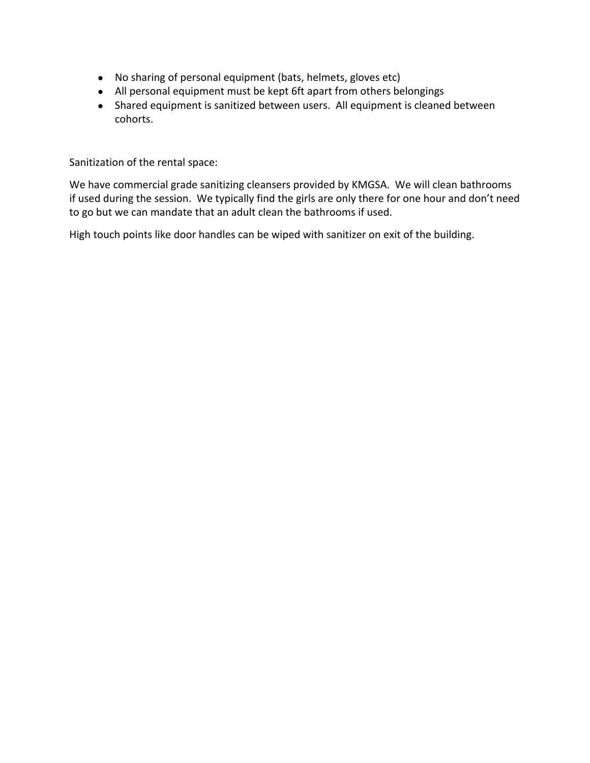- No sharing of personal equipment (bats, helmets, gloves etc)
- All personal equipment must be kept 6ft apart from others belongings
- Shared equipment is sanitized between users. All equipment is cleaned between cohorts.

Sanitization of the rental space:

We have commercial grade sanitizing cleansers provided by KMGSA. We will clean bathrooms if used during the session. We typically find the girls are only there for one hour and don't need to go but we can mandate that an adult clean the bathrooms if used.

High touch points like door handles can be wiped with sanitizer on exit of the building.